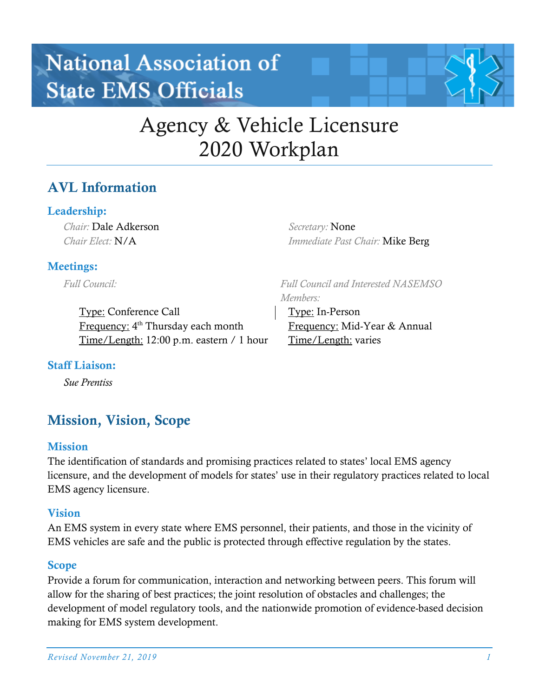# **National Association of State EMS Officials**



## Agency & Vehicle Licensure 2020 Workplan

*Members:*

Type: In-Person

Time/Length: varies

## AVL Information

## Leadership:

*Chair:* Dale Adkerson *Chair Elect:* N/A

*Secretary:* None *Immediate Past Chair:* Mike Berg

*Full Council and Interested NASEMSO* 

Frequency: Mid-Year & Annual

### Meetings:

*Full Council:*

Type: Conference Call Frequency: 4<sup>th</sup> Thursday each month Time/Length: 12:00 p.m. eastern / 1 hour

#### Staff Liaison:

*Sue Prentiss*

## Mission, Vision, Scope

#### **Mission**

The identification of standards and promising practices related to states' local EMS agency licensure, and the development of models for states' use in their regulatory practices related to local EMS agency licensure.

#### Vision

An EMS system in every state where EMS personnel, their patients, and those in the vicinity of EMS vehicles are safe and the public is protected through effective regulation by the states.

## Scope

Provide a forum for communication, interaction and networking between peers. This forum will allow for the sharing of best practices; the joint resolution of obstacles and challenges; the development of model regulatory tools, and the nationwide promotion of evidence-based decision making for EMS system development.